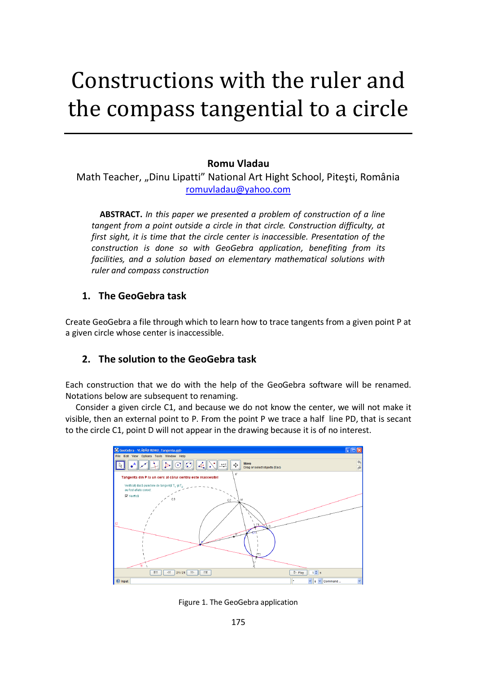# Constructions with the ruler and the compass tangential to a circle

# **Romu Vladau**

Math Teacher, "Dinu Lipatti" National Art Hight School, Pitești, România [romuvladau@yahoo.com](mailto:romuvladau@yahoo.com)

 **ABSTRACT.** *In this paper we presented a problem of construction of a line tangent from a point outside a circle in that circle. Construction difficulty, at first sight, it is time that the circle center is inaccessible. Presentation of the construction is done so with GeoGebra application, benefiting from its facilities, and a solution based on elementary mathematical solutions with ruler and compass construction*

## **1. The GeoGebra task**

Create GeoGebra a file through which to learn how to trace tangents from a given point P at a given circle whose center is inaccessible.

# **2. The solution to the GeoGebra task**

Each construction that we do with the help of the GeoGebra software will be renamed. Notations below are subsequent to renaming.

 Consider a given circle C1, and because we do not know the center, we will not make it visible, then an external point to P. From the point P we trace a half line PD, that is secant to the circle C1, point D will not appear in the drawing because it is of no interest.



Figure 1. The GeoGebra application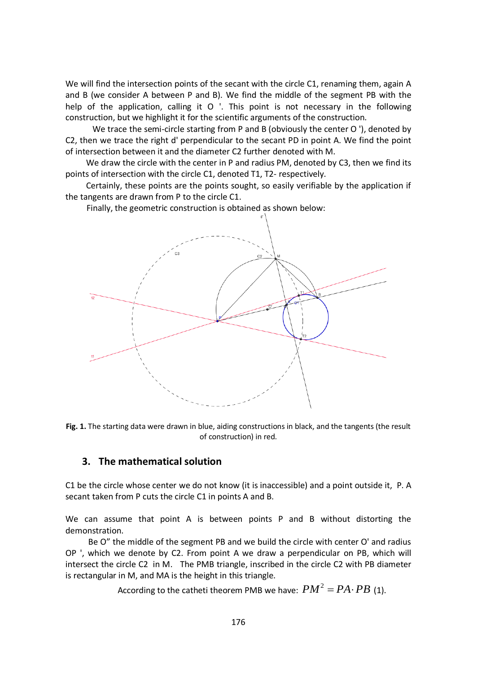We will find the intersection points of the secant with the circle C1, renaming them, again A and B (we consider A between P and B). We find the middle of the segment PB with the help of the application, calling it O '. This point is not necessary in the following construction, but we highlight it for the scientific arguments of the construction.

We trace the semi-circle starting from P and B (obviously the center O '), denoted by C2, then we trace the right d' perpendicular to the secant PD in point A. We find the point of intersection between it and the diameter C2 further denoted with M.

 We draw the circle with the center in P and radius PM, denoted by C3, then we find its points of intersection with the circle C1, denoted T1, T2- respectively.

 Certainly, these points are the points sought, so easily verifiable by the application if the tangents are drawn from P to the circle C1.

Finally, the geometric construction is obtained as shown below:



**Fig. 1.** The starting data were drawn in blue, aiding constructions in black, and the tangents (the result of construction) in red.

## **3. The mathematical solution**

C1 be the circle whose center we do not know (it is inaccessible) and a point outside it, P. A secant taken from P cuts the circle C1 in points A and B.

We can assume that point A is between points P and B without distorting the demonstration.

 Be O" the middle of the segment PB and we build the circle with center O' and radius OP ', which we denote by C2. From point A we draw a perpendicular on PB, which will intersect the circle C2 in M. The PMB triangle, inscribed in the circle C2 with PB diameter is rectangular in M, and MA is the height in this triangle.

According to the catheti theorem PMB we have:  $PM^2 = PA \cdot PB$  (1).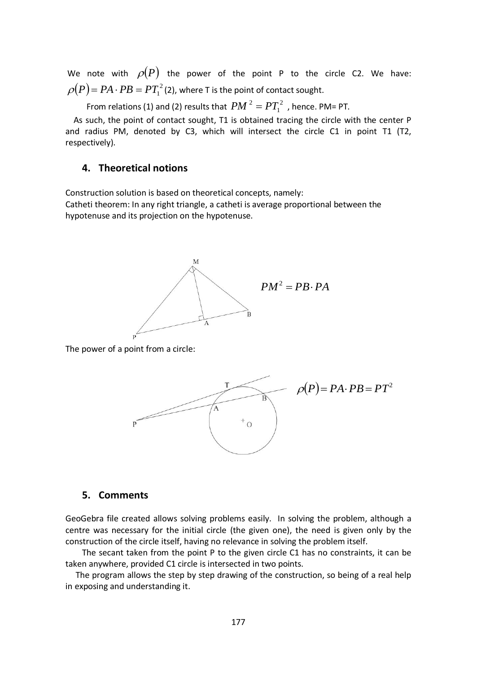We note with  $\rho(P)$  the power of the point P to the circle C2. We have:  $\rho(P)$  =  $PA\cdot PB$  =  $PT_{1}^{2}$  (2), where T is the point of contact sought.

From relations (1) and (2) results that  $PM$   $^2=PT_1^2$  $PM^2 = PT_1^2$  , hence. PM= PT.

 As such, the point of contact sought, T1 is obtained tracing the circle with the center P and radius PM, denoted by C3, which will intersect the circle C1 in point T1 (T2, respectively).

### **4. Theoretical notions**

Construction solution is based on theoretical concepts, namely: Catheti theorem: In any right triangle, a catheti is average proportional between the hypotenuse and its projection on the hypotenuse.



The power of a point from a circle:



#### **5. Comments**

GeoGebra file created allows solving problems easily. In solving the problem, although a centre was necessary for the initial circle (the given one), the need is given only by the construction of the circle itself, having no relevance in solving the problem itself.

 The secant taken from the point P to the given circle C1 has no constraints, it can be taken anywhere, provided C1 circle is intersected in two points.

 The program allows the step by step drawing of the construction, so being of a real help in exposing and understanding it.